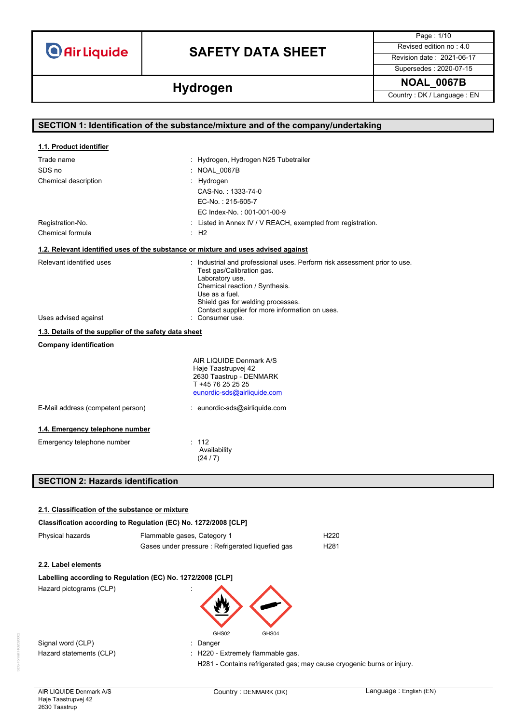# **SAFETY DATA SHEET** Revised edition no : 4.0

Page : 1/10 Supersedes : 2020-07-15

**Hydrogen Hydrogen Hydrogen Country**: DK / Language : EN

|                                                       | SECTION 1: Identification of the substance/mixture and of the company/undertaking                                                                                                                                  |
|-------------------------------------------------------|--------------------------------------------------------------------------------------------------------------------------------------------------------------------------------------------------------------------|
|                                                       |                                                                                                                                                                                                                    |
| 1.1. Product identifier                               |                                                                                                                                                                                                                    |
| Trade name                                            | : Hydrogen, Hydrogen N25 Tubetrailer                                                                                                                                                                               |
| SDS no                                                | : NOAL 0067B                                                                                                                                                                                                       |
| Chemical description                                  | Hydrogen                                                                                                                                                                                                           |
|                                                       | CAS-No.: 1333-74-0                                                                                                                                                                                                 |
|                                                       | EC-No.: 215-605-7                                                                                                                                                                                                  |
|                                                       | EC Index-No.: 001-001-00-9                                                                                                                                                                                         |
| Registration-No.                                      | : Listed in Annex IV / V REACH, exempted from registration.                                                                                                                                                        |
| Chemical formula                                      | :H2                                                                                                                                                                                                                |
|                                                       | 1.2. Relevant identified uses of the substance or mixture and uses advised against                                                                                                                                 |
| Relevant identified uses                              | : Industrial and professional uses. Perform risk assessment prior to use.<br>Test gas/Calibration gas.<br>Laboratory use.<br>Chemical reaction / Synthesis.<br>Use as a fuel.<br>Shield gas for welding processes. |
| Uses advised against                                  | Contact supplier for more information on uses.<br>: Consumer use.                                                                                                                                                  |
| 1.3. Details of the supplier of the safety data sheet |                                                                                                                                                                                                                    |
| <b>Company identification</b>                         |                                                                                                                                                                                                                    |
|                                                       | AIR LIQUIDE Denmark A/S<br>Høje Taastrupvej 42<br>2630 Taastrup - DENMARK<br>T +45 76 25 25 25<br>eunordic-sds@airliquide.com                                                                                      |
| E-Mail address (competent person)                     | : eunordic-sds@airliquide.com                                                                                                                                                                                      |
| 1.4. Emergency telephone number                       |                                                                                                                                                                                                                    |
| Emergency telephone number                            | : 112<br>Availability<br>(24/7)                                                                                                                                                                                    |
| <b>SECTION 2: Hazards identification</b>              |                                                                                                                                                                                                                    |

## **2.1. Classification of the substance or mixture**

|  |  | Classification according to Regulation (EC) No. 1272/2008 [CLP] |  |
|--|--|-----------------------------------------------------------------|--|
|  |  |                                                                 |  |

| Physical hazards        | Flammable gases, Category 1                                | H <sub>220</sub> |
|-------------------------|------------------------------------------------------------|------------------|
|                         | Gases under pressure : Refrigerated liquefied gas          | H <sub>281</sub> |
| 2.2. Label elements     |                                                            |                  |
|                         | Labelling according to Regulation (EC) No. 1272/2008 [CLP] |                  |
| Hazard pictograms (CLP) | GHS02<br>GHS04                                             |                  |
| Signal word (CLP)       | Danger                                                     |                  |
| Hazard statements (CLP) | : H220 - Extremely flammable gas.                          |                  |

H281 - Contains refrigerated gas; may cause cryogenic burns or injury.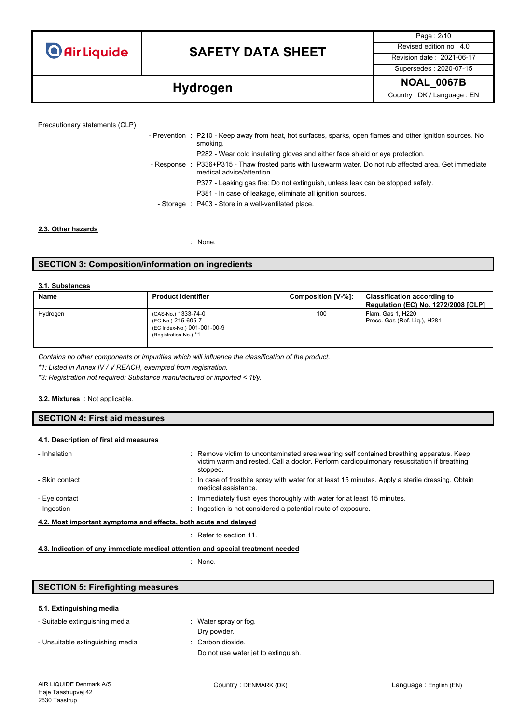# **SAFETY DATA SHEET** Revised edition no : 4.0

Supersedes : 2020-07-15

Page : 2/10

**Hydrogen Hydrogen Hydrogen Hydrogen Hydrogen EN** 

| - Prevention : P210 - I |  |
|-------------------------|--|
|                         |  |

| - Prevention : P210 - Keep away from heat, hot surfaces, sparks, open flames and other ignition sources. No<br>smoking.               |
|---------------------------------------------------------------------------------------------------------------------------------------|
| P282 - Wear cold insulating gloves and either face shield or eye protection.                                                          |
| - Response : P336+P315 - Thaw frosted parts with lukewarm water. Do not rub affected area. Get immediate<br>medical advice/attention. |
| P377 - Leaking gas fire: Do not extinguish, unless leak can be stopped safely.                                                        |
| P381 - In case of leakage, eliminate all ignition sources.                                                                            |
| - Storage : P403 - Store in a well-ventilated place.                                                                                  |
|                                                                                                                                       |

## **2.3. Other hazards**

: None.

## **SECTION 3: Composition/information on ingredients**

## **3.1. Substances**

| <b>Name</b> | <b>Product identifier</b>                                                                         | Composition [V-%]: | <b>Classification according to</b><br>Regulation (EC) No. 1272/2008 [CLP] |
|-------------|---------------------------------------------------------------------------------------------------|--------------------|---------------------------------------------------------------------------|
| Hydrogen    | (CAS-No.) 1333-74-0<br>(EC-No.) 215-605-7<br>(EC Index-No.) 001-001-00-9<br>(Registration-No.) *1 | 100                | Flam. Gas 1, H220<br>Press. Gas (Ref. Lig.), H281                         |

*Contains no other components or impurities which will influence the classification of the product.*

*\*1: Listed in Annex IV / V REACH, exempted from registration.*

*\*3: Registration not required: Substance manufactured or imported < 1t/y.*

### : Not applicable. **3.2. Mixtures**

## **SECTION 4: First aid measures**

## **4.1. Description of first aid measures**

| - Inhalation                                                     | : Remove victim to uncontaminated area wearing self contained breathing apparatus. Keep<br>victim warm and rested. Call a doctor. Perform cardiopulmonary resuscitation if breathing<br>stopped. |
|------------------------------------------------------------------|--------------------------------------------------------------------------------------------------------------------------------------------------------------------------------------------------|
| - Skin contact                                                   | : In case of frostbite spray with water for at least 15 minutes. Apply a sterile dressing. Obtain<br>medical assistance.                                                                         |
| - Eye contact                                                    | : Immediately flush eyes thoroughly with water for at least 15 minutes.                                                                                                                          |
| - Ingestion                                                      | : Ingestion is not considered a potential route of exposure.                                                                                                                                     |
| 4.2. Most important symptoms and effects, both acute and delayed |                                                                                                                                                                                                  |
|                                                                  |                                                                                                                                                                                                  |

: Refer to section 11.

## **4.3. Indication of any immediate medical attention and special treatment needed**

: None.

## **SECTION 5: Firefighting measures**

### **5.1. Extinguishing media**

| - Suitable extinguishing media   | : Water spray or fog.               |
|----------------------------------|-------------------------------------|
|                                  | Dry powder.                         |
| - Unsuitable extinguishing media | $\therefore$ Carbon dioxide.        |
|                                  | Do not use water jet to extinguish. |
|                                  |                                     |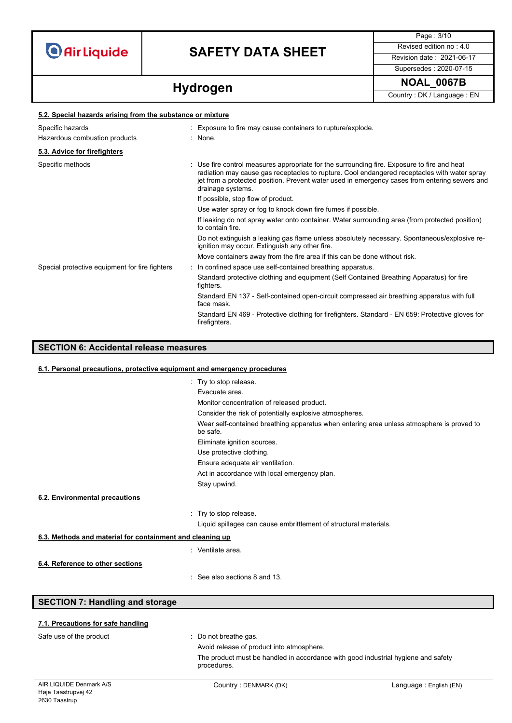**5.2. Special hazards arising from the substance or mixture**

# **SAFETY DATA SHEET** Revised edition no : 4.0

Page : 3/10 Supersedes : 2020-07-15

**Hydrogen Hydrogen Hydrogen Hydrogen Hydrogen EN** 

| 5.2. Special nazarus arising from the substance or mixture |                                                                                                                                                                                                                                                                                                                   |
|------------------------------------------------------------|-------------------------------------------------------------------------------------------------------------------------------------------------------------------------------------------------------------------------------------------------------------------------------------------------------------------|
| Specific hazards                                           | : Exposure to fire may cause containers to rupture/explode.                                                                                                                                                                                                                                                       |
| Hazardous combustion products                              | : None                                                                                                                                                                                                                                                                                                            |
| 5.3. Advice for firefighters                               |                                                                                                                                                                                                                                                                                                                   |
| Specific methods                                           | : Use fire control measures appropriate for the surrounding fire. Exposure to fire and heat<br>radiation may cause gas receptacles to rupture. Cool endangered receptacles with water spray<br>jet from a protected position. Prevent water used in emergency cases from entering sewers and<br>drainage systems. |
|                                                            | If possible, stop flow of product.                                                                                                                                                                                                                                                                                |
|                                                            | Use water spray or fog to knock down fire fumes if possible.                                                                                                                                                                                                                                                      |
|                                                            | If leaking do not spray water onto container. Water surrounding area (from protected position)<br>to contain fire.                                                                                                                                                                                                |
|                                                            | Do not extinguish a leaking gas flame unless absolutely necessary. Spontaneous/explosive re-<br>ignition may occur. Extinguish any other fire.                                                                                                                                                                    |
|                                                            | Move containers away from the fire area if this can be done without risk.                                                                                                                                                                                                                                         |
| Special protective equipment for fire fighters             | : In confined space use self-contained breathing apparatus.                                                                                                                                                                                                                                                       |
|                                                            | Standard protective clothing and equipment (Self Contained Breathing Apparatus) for fire<br>fighters.                                                                                                                                                                                                             |
|                                                            | Standard EN 137 - Self-contained open-circuit compressed air breathing apparatus with full<br>face mask.                                                                                                                                                                                                          |
|                                                            | Standard EN 469 - Protective clothing for firefighters. Standard - EN 659: Protective gloves for<br>firefighters.                                                                                                                                                                                                 |

## **SECTION 6: Accidental release measures**

## **6.1. Personal precautions, protective equipment and emergency procedures**

|                                                           | : Try to stop release.                                                                                |
|-----------------------------------------------------------|-------------------------------------------------------------------------------------------------------|
|                                                           | Evacuate area.                                                                                        |
|                                                           | Monitor concentration of released product.                                                            |
|                                                           | Consider the risk of potentially explosive atmospheres.                                               |
|                                                           | Wear self-contained breathing apparatus when entering area unless atmosphere is proved to<br>be safe. |
|                                                           | Eliminate ignition sources.                                                                           |
|                                                           | Use protective clothing.                                                                              |
|                                                           | Ensure adequate air ventilation.                                                                      |
|                                                           | Act in accordance with local emergency plan.                                                          |
|                                                           | Stay upwind.                                                                                          |
| 6.2. Environmental precautions                            |                                                                                                       |
|                                                           | : Try to stop release.                                                                                |
|                                                           | Liquid spillages can cause embrittlement of structural materials.                                     |
| 6.3. Methods and material for containment and cleaning up |                                                                                                       |
|                                                           | : Ventilate area.                                                                                     |
| 6.4. Reference to other sections                          |                                                                                                       |
|                                                           | : See also sections 8 and 13.                                                                         |
|                                                           |                                                                                                       |
|                                                           |                                                                                                       |

**SECTION 7: Handling and storage**

| 7.1. Precautions for safe handling |  |
|------------------------------------|--|
|                                    |  |

Safe use of the product **interest in the same of the product**  $\cdot$  Do not breathe gas.

Avoid release of product into atmosphere.

The product must be handled in accordance with good industrial hygiene and safety procedures.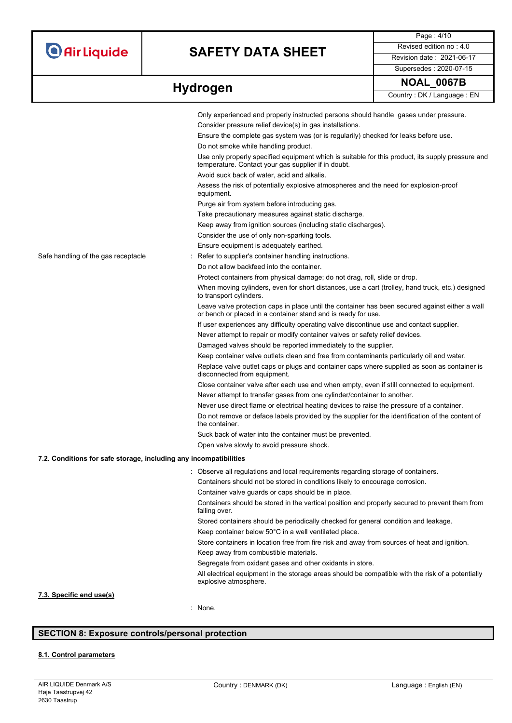# **SAFETY DATA SHEET** Revised edition no : 4.0

Page : 4/10 Supersedes : 2020-07-15

|                                                                   | Only experienced and properly instructed persons should handle gases under pressure.                                                                             |
|-------------------------------------------------------------------|------------------------------------------------------------------------------------------------------------------------------------------------------------------|
|                                                                   | Consider pressure relief device(s) in gas installations.                                                                                                         |
|                                                                   | Ensure the complete gas system was (or is regularily) checked for leaks before use.                                                                              |
|                                                                   | Do not smoke while handling product.                                                                                                                             |
|                                                                   | Use only properly specified equipment which is suitable for this product, its supply pressure and<br>temperature. Contact your gas supplier if in doubt.         |
|                                                                   | Avoid suck back of water, acid and alkalis.                                                                                                                      |
|                                                                   | Assess the risk of potentially explosive atmospheres and the need for explosion-proof<br>equipment.                                                              |
|                                                                   | Purge air from system before introducing gas.                                                                                                                    |
|                                                                   | Take precautionary measures against static discharge.                                                                                                            |
|                                                                   | Keep away from ignition sources (including static discharges).                                                                                                   |
|                                                                   | Consider the use of only non-sparking tools.                                                                                                                     |
|                                                                   | Ensure equipment is adequately earthed.                                                                                                                          |
| Safe handling of the gas receptacle                               | Refer to supplier's container handling instructions.                                                                                                             |
|                                                                   | Do not allow backfeed into the container.                                                                                                                        |
|                                                                   | Protect containers from physical damage; do not drag, roll, slide or drop.                                                                                       |
|                                                                   | When moving cylinders, even for short distances, use a cart (trolley, hand truck, etc.) designed<br>to transport cylinders.                                      |
|                                                                   | Leave valve protection caps in place until the container has been secured against either a wall<br>or bench or placed in a container stand and is ready for use. |
|                                                                   | If user experiences any difficulty operating valve discontinue use and contact supplier.                                                                         |
|                                                                   | Never attempt to repair or modify container valves or safety relief devices.                                                                                     |
|                                                                   | Damaged valves should be reported immediately to the supplier.                                                                                                   |
|                                                                   | Keep container valve outlets clean and free from contaminants particularly oil and water.                                                                        |
|                                                                   | Replace valve outlet caps or plugs and container caps where supplied as soon as container is<br>disconnected from equipment.                                     |
|                                                                   | Close container valve after each use and when empty, even if still connected to equipment.                                                                       |
|                                                                   | Never attempt to transfer gases from one cylinder/container to another.                                                                                          |
|                                                                   | Never use direct flame or electrical heating devices to raise the pressure of a container.                                                                       |
|                                                                   | Do not remove or deface labels provided by the supplier for the identification of the content of<br>the container.                                               |
|                                                                   | Suck back of water into the container must be prevented.                                                                                                         |
|                                                                   | Open valve slowly to avoid pressure shock.                                                                                                                       |
| 7.2. Conditions for safe storage, including any incompatibilities |                                                                                                                                                                  |
|                                                                   | : Observe all regulations and local requirements regarding storage of containers.                                                                                |
|                                                                   | Containers should not be stored in conditions likely to encourage corrosion.                                                                                     |
|                                                                   | Container valve guards or caps should be in place.                                                                                                               |
|                                                                   | Containers should be stored in the vertical position and properly secured to prevent them from<br>falling over.                                                  |
|                                                                   | Stored containers should be periodically checked for general condition and leakage.                                                                              |
|                                                                   | Keep container below 50°C in a well ventilated place.                                                                                                            |
|                                                                   | Store containers in location free from fire risk and away from sources of heat and ignition.                                                                     |
|                                                                   |                                                                                                                                                                  |

Keep away from combustible materials.

Segregate from oxidant gases and other oxidants in store.

All electrical equipment in the storage areas should be compatible with the risk of a potentially explosive atmosphere.

## **7.3. Specific end use(s)**

: None.

## **SECTION 8: Exposure controls/personal protection**

## **8.1. Control parameters**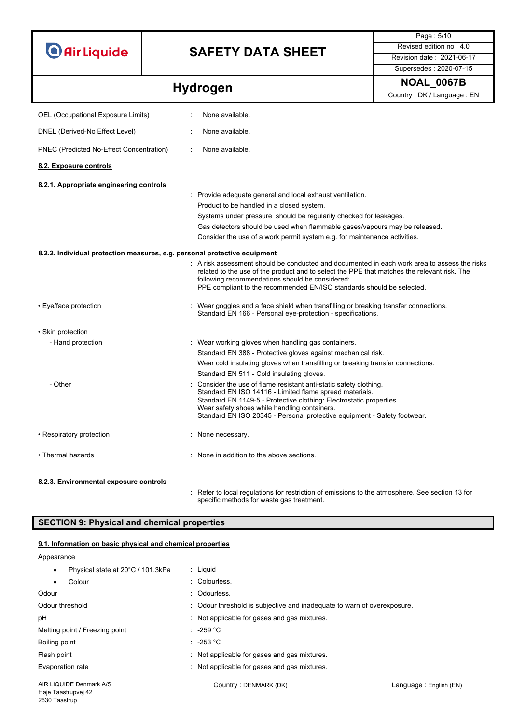# **SAFETY DATA SHEET** Revised edition no : 4.0

Supersedes : 2020-07-15

Page : 5/10

# **Hydrogen Hydrogen Hydrogen Hydrogen Hydrogen EN**

| OEL (Occupational Exposure Limits)                                        | None available.                                                                                                                                                                                                                                                                                                                        |
|---------------------------------------------------------------------------|----------------------------------------------------------------------------------------------------------------------------------------------------------------------------------------------------------------------------------------------------------------------------------------------------------------------------------------|
| DNEL (Derived-No Effect Level)                                            | None available.                                                                                                                                                                                                                                                                                                                        |
| PNEC (Predicted No-Effect Concentration)                                  | None available.                                                                                                                                                                                                                                                                                                                        |
| 8.2. Exposure controls                                                    |                                                                                                                                                                                                                                                                                                                                        |
| 8.2.1. Appropriate engineering controls                                   |                                                                                                                                                                                                                                                                                                                                        |
|                                                                           | : Provide adequate general and local exhaust ventilation.<br>Product to be handled in a closed system.<br>Systems under pressure should be regularily checked for leakages.<br>Gas detectors should be used when flammable gases/vapours may be released.<br>Consider the use of a work permit system e.g. for maintenance activities. |
| 8.2.2. Individual protection measures, e.g. personal protective equipment |                                                                                                                                                                                                                                                                                                                                        |
|                                                                           | $\colon\;$ A risk assessment should be conducted and documented in each work area to assess the risks<br>related to the use of the product and to select the PPE that matches the relevant risk. The<br>following recommendations should be considered:<br>PPE compliant to the recommended EN/ISO standards should be selected.       |
| • Eye/face protection                                                     | : Wear goggles and a face shield when transfilling or breaking transfer connections.<br>Standard EN 166 - Personal eye-protection - specifications.                                                                                                                                                                                    |
| · Skin protection                                                         |                                                                                                                                                                                                                                                                                                                                        |
| - Hand protection                                                         | : Wear working gloves when handling gas containers.<br>Standard EN 388 - Protective gloves against mechanical risk.<br>Wear cold insulating gloves when transfilling or breaking transfer connections.<br>Standard EN 511 - Cold insulating gloves.                                                                                    |
| - Other                                                                   | Consider the use of flame resistant anti-static safety clothing.<br>Standard EN ISO 14116 - Limited flame spread materials.<br>Standard EN 1149-5 - Protective clothing: Electrostatic properties.<br>Wear safety shoes while handling containers.<br>Standard EN ISO 20345 - Personal protective equipment - Safety footwear.         |
| • Respiratory protection                                                  | : None necessary.                                                                                                                                                                                                                                                                                                                      |
| • Thermal hazards                                                         | : None in addition to the above sections.                                                                                                                                                                                                                                                                                              |
| 8.2.3. Environmental exposure controls                                    |                                                                                                                                                                                                                                                                                                                                        |
|                                                                           | $\colon$ Refer to local regulations for restriction of emissions to the atmosphere. See section 13 for                                                                                                                                                                                                                                 |

specific methods for waste gas treatment.

## **SECTION 9: Physical and chemical properties**

## **9.1. Information on basic physical and chemical properties**

| Appearance                                     |                                                                         |
|------------------------------------------------|-------------------------------------------------------------------------|
| Physical state at 20°C / 101.3kPa<br>$\bullet$ | : Liguid                                                                |
| Colour<br>$\bullet$                            | : Colourless.                                                           |
| Odour                                          | : Odourless.                                                            |
| Odour threshold                                | : Odour threshold is subjective and inadequate to warn of overexposure. |
| рH                                             | : Not applicable for gases and gas mixtures.                            |
| Melting point / Freezing point                 | $: -259 °C$                                                             |
| Boiling point                                  | $\therefore$ -253 °C                                                    |
| Flash point                                    | : Not applicable for gases and gas mixtures.                            |
| Evaporation rate                               | Not applicable for gases and gas mixtures.                              |
|                                                |                                                                         |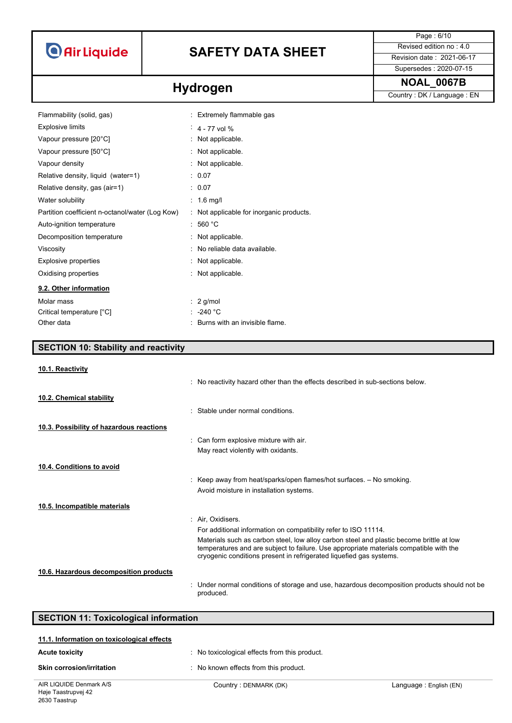# **SAFETY DATA SHEET** Revised edition no : 4.0

Supersedes : 2020-07-15

Page : 6/10

**Hydrogen Hydrogen Hydrogen Country**: DK / Language : EN

| Flammability (solid, gas)                       | : Extremely flammable gas              |
|-------------------------------------------------|----------------------------------------|
| <b>Explosive limits</b>                         | $4 - 77$ vol %                         |
| Vapour pressure [20°C]                          | : Not applicable.                      |
| Vapour pressure [50°C]                          | : Not applicable.                      |
| Vapour density                                  | : Not applicable.                      |
| Relative density, liquid (water=1)              | : 0.07                                 |
| Relative density, gas (air=1)                   | : 0.07                                 |
| Water solubility                                | $: 1.6$ mg/                            |
| Partition coefficient n-octanol/water (Log Kow) | Not applicable for inorganic products. |
| Auto-ignition temperature                       | : 560 °C                               |
| Decomposition temperature                       | : Not applicable.                      |
| Viscosity                                       | : No reliable data available.          |
| Explosive properties                            | : Not applicable.                      |
| Oxidising properties                            | : Not applicable.                      |
| 9.2. Other information                          |                                        |
| Molar mass                                      | $\therefore$ 2 g/mol                   |
| Critical temperature [°C]                       | : -240 $^{\circ}$ C                    |
| Other data                                      | Burns with an invisible flame          |

## **SECTION 10: Stability and reactivity**

| 10.1. Reactivity                         |                                                                                                                                                                                                                                                           |
|------------------------------------------|-----------------------------------------------------------------------------------------------------------------------------------------------------------------------------------------------------------------------------------------------------------|
|                                          | : No reactivity hazard other than the effects described in sub-sections below.                                                                                                                                                                            |
| 10.2. Chemical stability                 |                                                                                                                                                                                                                                                           |
|                                          | Stable under normal conditions                                                                                                                                                                                                                            |
| 10.3. Possibility of hazardous reactions |                                                                                                                                                                                                                                                           |
|                                          | : Can form explosive mixture with air.                                                                                                                                                                                                                    |
|                                          | May react violently with oxidants.                                                                                                                                                                                                                        |
| 10.4. Conditions to avoid                |                                                                                                                                                                                                                                                           |
|                                          | : Keep away from heat/sparks/open flames/hot surfaces. $-$ No smoking.                                                                                                                                                                                    |
|                                          | Avoid moisture in installation systems.                                                                                                                                                                                                                   |
| 10.5. Incompatible materials             |                                                                                                                                                                                                                                                           |
|                                          | : Air. Oxidisers.                                                                                                                                                                                                                                         |
|                                          | For additional information on compatibility refer to ISO 11114.                                                                                                                                                                                           |
|                                          | Materials such as carbon steel, low alloy carbon steel and plastic become brittle at low<br>temperatures and are subject to failure. Use appropriate materials compatible with the<br>cryogenic conditions present in refrigerated liquefied gas systems. |
| 10.6. Hazardous decomposition products   |                                                                                                                                                                                                                                                           |
|                                          | : Under normal conditions of storage and use, hazardous decomposition products should not be<br>produced.                                                                                                                                                 |

| <b>SECTION 11: Toxicological information</b> |                                             |                        |  |  |
|----------------------------------------------|---------------------------------------------|------------------------|--|--|
| 11.1. Information on toxicological effects   |                                             |                        |  |  |
| <b>Acute toxicity</b>                        | No toxicological effects from this product. |                        |  |  |
| <b>Skin corrosion/irritation</b>             | No known effects from this product.         |                        |  |  |
| AIR LIQUIDE Denmark A/S                      | Country: DENMARK (DK)                       | Language: English (EN) |  |  |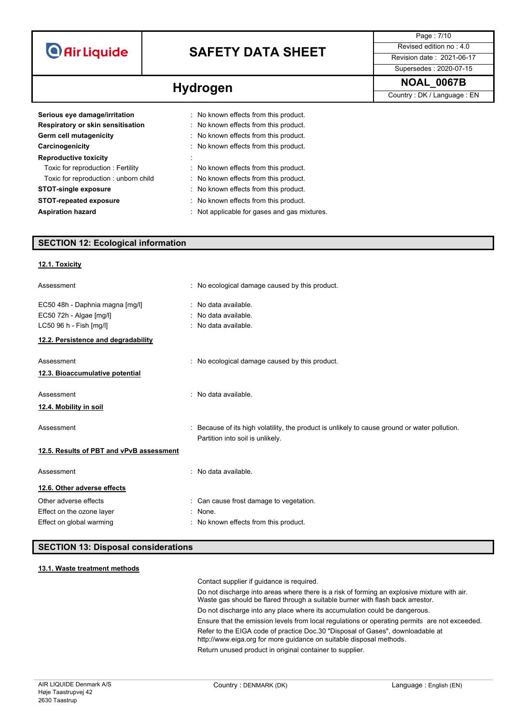| <b>O</b> Air Liquide |  |  |
|----------------------|--|--|
|                      |  |  |

# **SAFETY DATA SHEET** Revised edition no : 4.0

Page : 7/10 Supersedes : 2020-07-15

**Hydrogen Hydrogen Hydrogen Hydrogen Hydrogen EN** 

| Serious eye damage/irritation<br>Respiratory or skin sensitisation<br>Germ cell mutagenicity<br>Carcinogenicity<br><b>Reproductive toxicity</b><br>Toxic for reproduction: Fertility<br>Toxic for reproduction: unborn child | : No known effects from this product.<br>: No known effects from this product.<br>: No known effects from this product.<br>: No known effects from this product.<br>: No known effects from this product.<br>: No known effects from this product. |
|------------------------------------------------------------------------------------------------------------------------------------------------------------------------------------------------------------------------------|----------------------------------------------------------------------------------------------------------------------------------------------------------------------------------------------------------------------------------------------------|
| <b>STOT-single exposure</b>                                                                                                                                                                                                  | : No known effects from this product.                                                                                                                                                                                                              |
| <b>STOT-repeated exposure</b>                                                                                                                                                                                                | : No known effects from this product.                                                                                                                                                                                                              |
| <b>Aspiration hazard</b>                                                                                                                                                                                                     | Not applicable for gases and gas mixtures.                                                                                                                                                                                                         |

## **SECTION 12: Ecological information**

## **12.1. Toxicity**

| Assessment                                                                            | : No ecological damage caused by this product.                                                                                  |
|---------------------------------------------------------------------------------------|---------------------------------------------------------------------------------------------------------------------------------|
| EC50 48h - Daphnia magna [mg/l]<br>EC50 72h - Algae [mg/l]<br>LC50 96 h - Fish [mg/l] | : No data available.<br>: No data available.<br>: No data available.                                                            |
| 12.2. Persistence and degradability                                                   |                                                                                                                                 |
| Assessment<br>12.3. Bioaccumulative potential                                         | : No ecological damage caused by this product.                                                                                  |
| Assessment<br>12.4. Mobility in soil                                                  | No data available.                                                                                                              |
| Assessment                                                                            | Because of its high volatility, the product is unlikely to cause ground or water pollution.<br>Partition into soil is unlikely. |
| 12.5. Results of PBT and vPvB assessment                                              |                                                                                                                                 |
| Assessment                                                                            | No data available.                                                                                                              |
| 12.6. Other adverse effects                                                           |                                                                                                                                 |
| Other adverse effects<br>Effect on the ozone layer<br>Effect on global warming        | : Can cause frost damage to vegetation.<br>: None.<br>: No known effects from this product.                                     |

## **SECTION 13: Disposal considerations**

## **13.1. Waste treatment methods**

Contact supplier if guidance is required.

Do not discharge into areas where there is a risk of forming an explosive mixture with air. Waste gas should be flared through a suitable burner with flash back arrestor. Do not discharge into any place where its accumulation could be dangerous. Ensure that the emission levels from local regulations or operating permits are not exceeded. Refer to the EIGA code of practice Doc.30 "Disposal of Gases", downloadable at http://www.eiga.org for more guidance on suitable disposal methods. Return unused product in original container to supplier.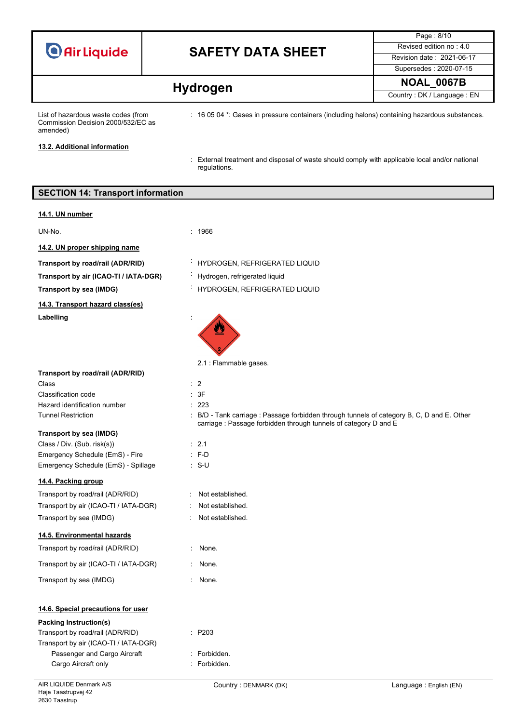## **SAFETY DATA SHEET** Revised edition no : 4.0

Page : 8/10 Supersedes : 2020-07-15

**Hydrogen Hydrogen Hydrogen Hydrogen EN** 

List of hazardous waste codes (from Commission Decision 2000/532/EC as amended)

: 16 05 04 \*: Gases in pressure containers (including halons) containing hazardous substances.

**13.2. Additional information**

: External treatment and disposal of waste should comply with applicable local and/or national regulations.

## **SECTION 14: Transport information**

**14.1. UN number**

UN-No. : 1966

**14.2. UN proper shipping name**

**Transport by air (ICAO-TI / IATA-DGR)** : Hydrogen, refrigerated liquid

**14.3. Transport hazard class(es)** Labelling

**Transport by road/rail (ADR/RID)** : HYDROGEN, REFRIGERATED LIQUID

**Transport by sea (IMDG)** : HYDROGEN, REFRIGERATED LIQUID

carriage : Passage forbidden through tunnels of category D and E



: Not established. Not established. : Not established.

|  | Transport by road/rail (ADR/RID) |  |
|--|----------------------------------|--|

Class : 2 Classification code : 3F Hazard identification number : 223 Tunnel Restriction : B/D - Tank carriage : Passage forbidden through tunnels of category B, C, D and E. Other

## **Transport by sea (IMDG)**

Class / Div. (Sub. risk(s)) : 2.1 Emergency Schedule (EmS) - Fire : F-D Emergency Schedule (EmS) - Spillage : S-U

## **14.4. Packing group**

| Transport by road/rail (ADR/RID)      |
|---------------------------------------|
| Transport by air (ICAO-TI / IATA-DGR) |
| Transport by sea (IMDG)               |

## **14.5. Environmental hazards**

| Transport by road/rail (ADR/RID)      | $:$ None. |
|---------------------------------------|-----------|
| Transport by air (ICAO-TI / IATA-DGR) | $:$ None. |

Transport by sea (IMDG) **:** None.

## **14.6. Special precautions for user**

## **Packing Instruction(s)**

| Transport by road/rail (ADR/RID)      | $\therefore$ P203 |
|---------------------------------------|-------------------|
| Transport by air (ICAO-TI / IATA-DGR) |                   |
| Passenger and Cargo Aircraft          | : Forbidden.      |
| Cargo Aircraft only                   | : Forbidden.      |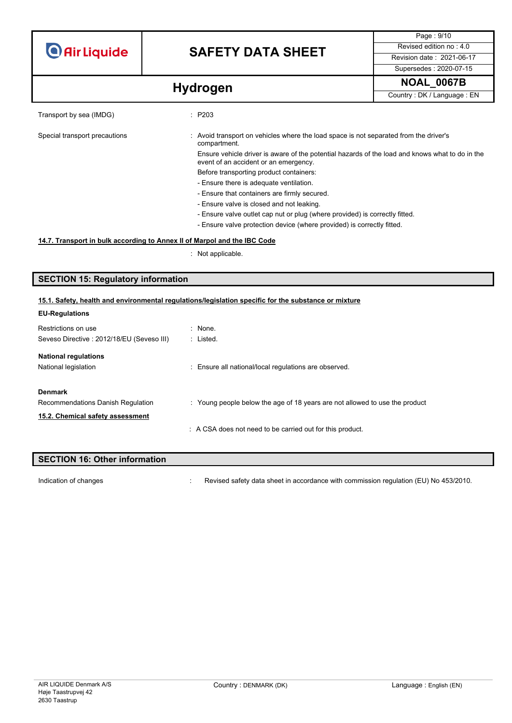# **SAFETY DATA SHEET** Revised edition no : 4.0

Page : 9/10 Supersedes : 2020-07-15

**Hydrogen Hydrogen Hydrogen Hydrogen Hydrogen EN** 

| Transport by sea (IMDG)       | $\therefore$ P203                                                                                                                        |  |
|-------------------------------|------------------------------------------------------------------------------------------------------------------------------------------|--|
| Special transport precautions | : Avoid transport on vehicles where the load space is not separated from the driver's<br>compartment.                                    |  |
|                               | Ensure vehicle driver is aware of the potential hazards of the load and knows what to do in the<br>event of an accident or an emergency. |  |
|                               | Before transporting product containers:                                                                                                  |  |
|                               | - Ensure there is adequate ventilation.                                                                                                  |  |
|                               | - Ensure that containers are firmly secured.                                                                                             |  |
|                               | - Ensure valve is closed and not leaking.                                                                                                |  |
|                               | - Ensure valve outlet cap nut or plug (where provided) is correctly fitted.                                                              |  |
|                               | - Ensure valve protection device (where provided) is correctly fitted.                                                                   |  |
|                               |                                                                                                                                          |  |

## **14.7. Transport in bulk according to Annex II of Marpol and the IBC Code**

: Not applicable.

## **SECTION 15: Regulatory information**

## **15.1. Safety, health and environmental regulations/legislation specific for the substance or mixture**

| <b>EU-Regulations</b>                     |                                                                             |
|-------------------------------------------|-----------------------------------------------------------------------------|
| Restrictions on use                       | $:$ None.                                                                   |
| Seveso Directive: 2012/18/EU (Seveso III) | : Listed.                                                                   |
| <b>National regulations</b>               |                                                                             |
| National legislation                      | : Ensure all national/local regulations are observed.                       |
| <b>Denmark</b>                            |                                                                             |
| Recommendations Danish Regulation         | : Young people below the age of 18 years are not allowed to use the product |
| 15.2. Chemical safety assessment          |                                                                             |
|                                           | : A CSA does not need to be carried out for this product.                   |
|                                           |                                                                             |

| <b>SECTION 16: Other information</b> |  |                                                                                      |
|--------------------------------------|--|--------------------------------------------------------------------------------------|
|                                      |  |                                                                                      |
| Indication of changes                |  | Revised safety data sheet in accordance with commission regulation (EU) No 453/2010. |